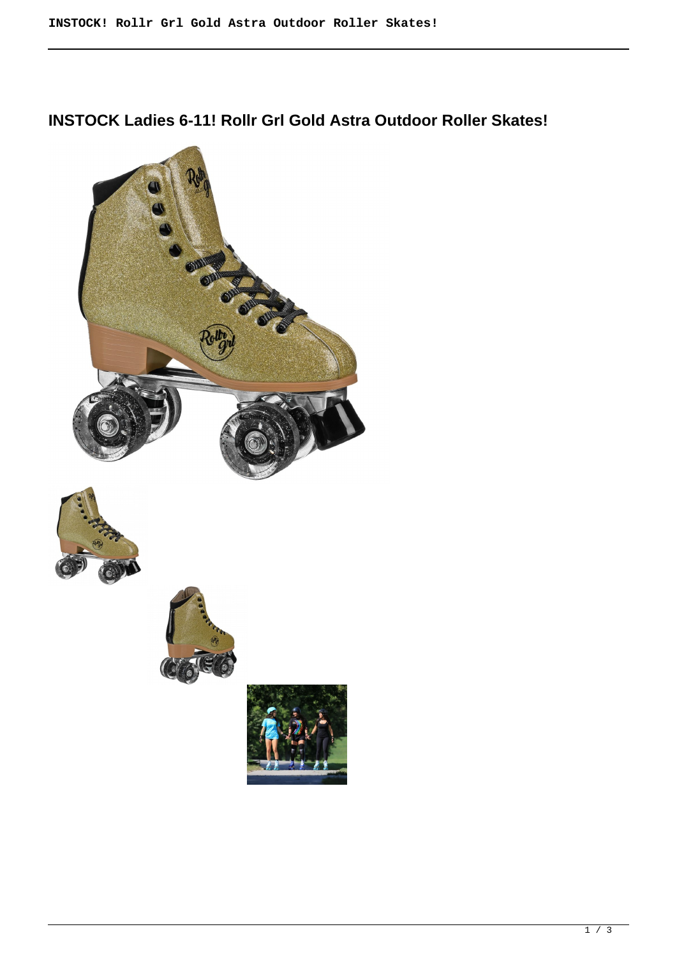## **INSTOCK Ladies 6-11! Rollr Grl Gold Astra Outdoor Roller Skates!**







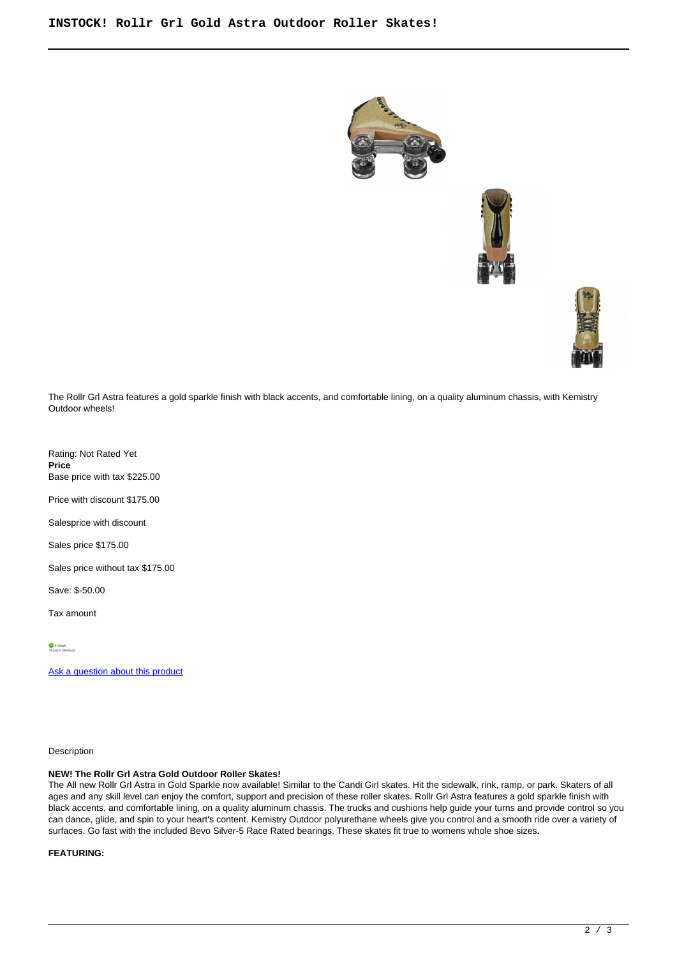





The Rollr Grl Astra features a gold sparkle finish with black accents, and comfortable lining, on a quality aluminum chassis, with Kemistry Outdoor wheels!

Rating: Not Rated Yet **Price**  Base price with tax \$225.00

Price with discount \$175.00

Salesprice with discount

Sales price \$175.00

Sales price without tax \$175.00

Save: \$-50.00

Tax amount

[Ask a question about this product](https://rollerskatin.ca/index.php?option=com_virtuemart&view=productdetails&task=askquestion&virtuemart_product_id=1141&virtuemart_category_id=28&tmpl=component)

Description

## **NEW! The Rollr Grl Astra Gold Outdoor Roller Skates!**

The All new Rollr Grl Astra in Gold Sparkle now available! Similar to the Candi Girl skates. Hit the sidewalk, rink, ramp, or park. Skaters of all ages and any skill level can enjoy the comfort, support and precision of these roller skates. Rollr Grl Astra features a gold sparkle finish with black accents, and comfortable lining, on a quality aluminum chassis. The trucks and cushions help guide your turns and provide control so you can dance, glide, and spin to your heart's content. Kemistry Outdoor polyurethane wheels give you control and a smooth ride over a variety of surfaces. Go fast with the included Bevo Silver-5 Race Rated bearings. These skates fit true to womens whole shoe sizes**.**

**FEATURING:**